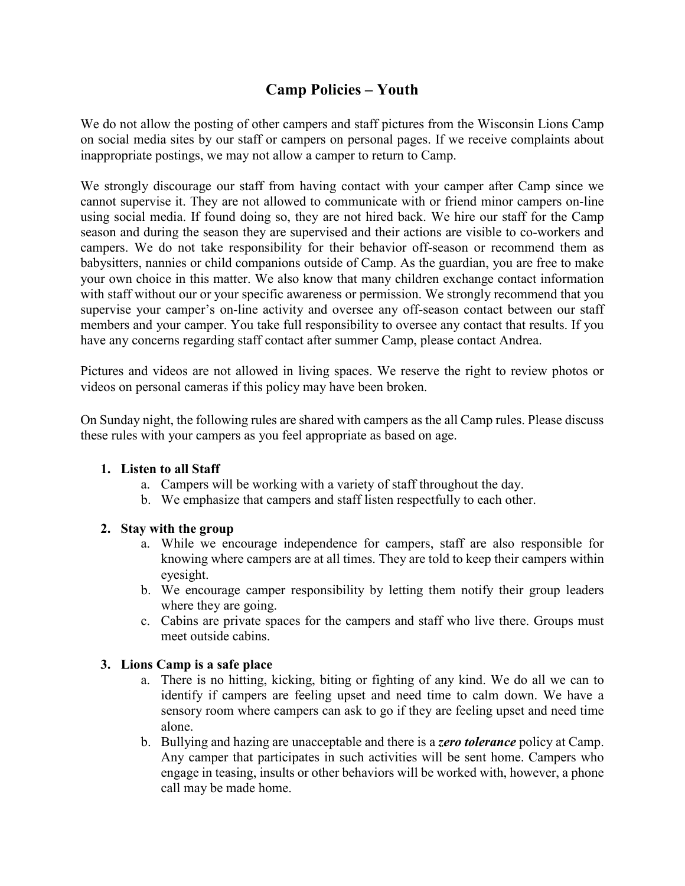# **Camp Policies – Youth**

We do not allow the posting of other campers and staff pictures from the Wisconsin Lions Camp on social media sites by our staff or campers on personal pages. If we receive complaints about inappropriate postings, we may not allow a camper to return to Camp.

We strongly discourage our staff from having contact with your camper after Camp since we cannot supervise it. They are not allowed to communicate with or friend minor campers on-line using social media. If found doing so, they are not hired back. We hire our staff for the Camp season and during the season they are supervised and their actions are visible to co-workers and campers. We do not take responsibility for their behavior off-season or recommend them as babysitters, nannies or child companions outside of Camp. As the guardian, you are free to make your own choice in this matter. We also know that many children exchange contact information with staff without our or your specific awareness or permission. We strongly recommend that you supervise your camper's on-line activity and oversee any off-season contact between our staff members and your camper. You take full responsibility to oversee any contact that results. If you have any concerns regarding staff contact after summer Camp, please contact Andrea.

Pictures and videos are not allowed in living spaces. We reserve the right to review photos or videos on personal cameras if this policy may have been broken.

On Sunday night, the following rules are shared with campers as the all Camp rules. Please discuss these rules with your campers as you feel appropriate as based on age.

### **1. Listen to all Staff**

- a. Campers will be working with a variety of staff throughout the day.
- b. We emphasize that campers and staff listen respectfully to each other.

## **2. Stay with the group**

- a. While we encourage independence for campers, staff are also responsible for knowing where campers are at all times. They are told to keep their campers within eyesight.
- b. We encourage camper responsibility by letting them notify their group leaders where they are going.
- c. Cabins are private spaces for the campers and staff who live there. Groups must meet outside cabins.

### **3. Lions Camp is a safe place**

- a. There is no hitting, kicking, biting or fighting of any kind. We do all we can to identify if campers are feeling upset and need time to calm down. We have a sensory room where campers can ask to go if they are feeling upset and need time alone.
- b. Bullying and hazing are unacceptable and there is a *zero tolerance* policy at Camp. Any camper that participates in such activities will be sent home. Campers who engage in teasing, insults or other behaviors will be worked with, however, a phone call may be made home.